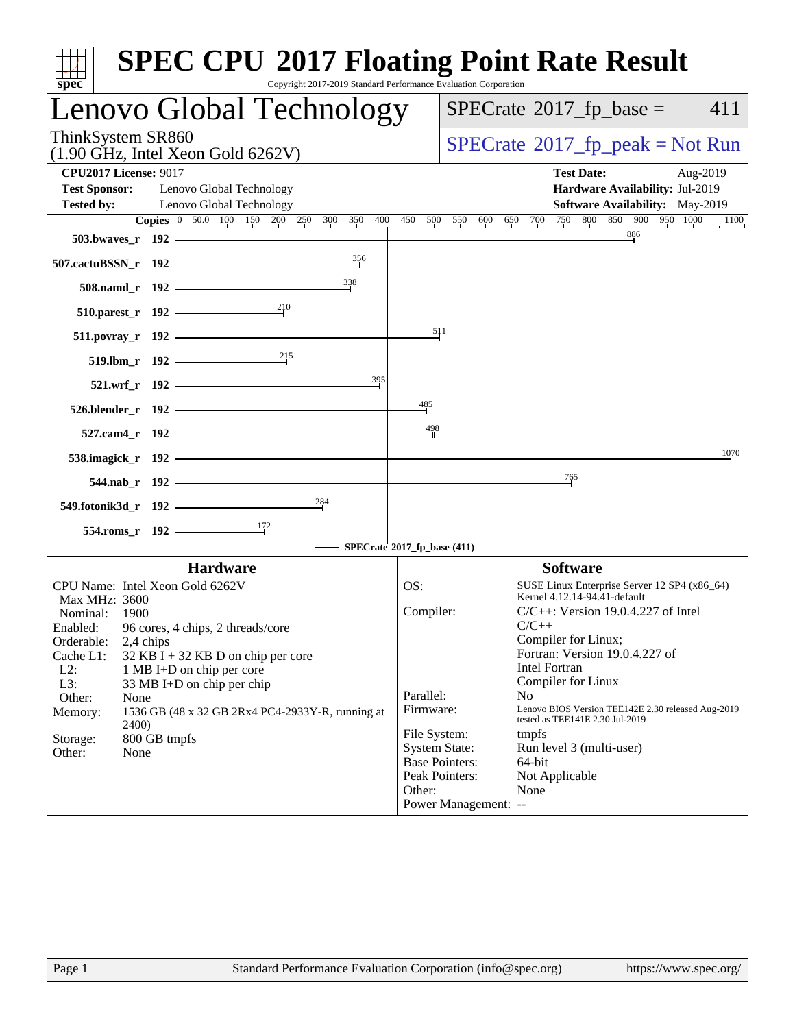|                      |                              | Lenovo Global Technology                                          |                       | $SPECrate^{\circledast}2017$ _fp_base = | 411                                                                                   |
|----------------------|------------------------------|-------------------------------------------------------------------|-----------------------|-----------------------------------------|---------------------------------------------------------------------------------------|
| ThinkSystem SR860    |                              | $(1.90 \text{ GHz}, \text{Intel Xeon Gold } 6262 \text{V})$       |                       |                                         | $SPECrate^{\circ}2017$ [p_peak = Not Run                                              |
|                      | <b>CPU2017 License: 9017</b> |                                                                   |                       |                                         | <b>Test Date:</b><br>Aug-2019                                                         |
| <b>Test Sponsor:</b> |                              | Lenovo Global Technology                                          |                       |                                         | Hardware Availability: Jul-2019                                                       |
| <b>Tested by:</b>    |                              | Lenovo Global Technology                                          |                       |                                         | <b>Software Availability:</b> May-2019                                                |
|                      |                              | Copies 0 50.0 100 150 200 250<br>350<br>400<br>300                | 450<br>500            | 550<br>600<br>700<br>750<br>650         | 800 850 900 950 1000<br>1100<br>886                                                   |
|                      | 503.bwaves_r 192             | 356                                                               |                       |                                         |                                                                                       |
| 507.cactuBSSN_r 192  |                              |                                                                   |                       |                                         |                                                                                       |
|                      | 508.namd_r 192               | 338                                                               |                       |                                         |                                                                                       |
|                      | 510.parest_r 192             | 210                                                               |                       |                                         |                                                                                       |
|                      | 511.povray_r 192             |                                                                   | $\frac{511}{5}$       |                                         |                                                                                       |
|                      | 519.lbm_r 192                | 215                                                               |                       |                                         |                                                                                       |
|                      | 521.wrf_r 192                | 395                                                               |                       |                                         |                                                                                       |
|                      | 526.blender_r 192            |                                                                   | 485                   |                                         |                                                                                       |
|                      | 527.cam4_r 192               |                                                                   | 498                   |                                         |                                                                                       |
|                      |                              |                                                                   |                       |                                         | 1070                                                                                  |
|                      | 538.imagick_r 192            |                                                                   |                       | 765                                     |                                                                                       |
|                      | 544.nab_r 192                |                                                                   |                       |                                         |                                                                                       |
| 549.fotonik3d_r 192  |                              | 284                                                               |                       |                                         |                                                                                       |
|                      | 554.roms_r 192               | $\frac{172}{2}$                                                   |                       |                                         |                                                                                       |
|                      |                              | SPECrate®2017_fp_base (411)                                       |                       |                                         |                                                                                       |
|                      |                              | <b>Hardware</b>                                                   |                       |                                         | <b>Software</b>                                                                       |
| <b>Max MHz: 3600</b> |                              | CPU Name: Intel Xeon Gold 6262V                                   | OS:                   |                                         | SUSE Linux Enterprise Server 12 SP4 (x86_64)<br>Kernel 4.12.14-94.41-default          |
| Nominal:             | 1900                         |                                                                   | Compiler:             |                                         | $C/C++$ : Version 19.0.4.227 of Intel                                                 |
|                      |                              | Enabled: 96 cores, 4 chips, 2 threads/core                        |                       | $C/C++$                                 |                                                                                       |
| Orderable:           | 2,4 chips                    |                                                                   |                       | Compiler for Linux;                     | Fortran: Version 19.0.4.227 of                                                        |
| Cache L1:<br>$L2$ :  |                              | $32$ KB I + 32 KB D on chip per core<br>1 MB I+D on chip per core |                       | <b>Intel Fortran</b>                    |                                                                                       |
| L3:                  |                              | 33 MB I+D on chip per chip                                        |                       | Compiler for Linux                      |                                                                                       |
| Other:               | None                         |                                                                   | Parallel:             | N <sub>0</sub>                          |                                                                                       |
| Memory:              |                              | 1536 GB (48 x 32 GB 2Rx4 PC4-2933Y-R, running at                  | Firmware:             |                                         | Lenovo BIOS Version TEE142E 2.30 released Aug-2019<br>tested as TEE141E 2.30 Jul-2019 |
| Storage:             | 2400)<br>800 GB tmpfs        |                                                                   | File System:          | tmpfs                                   |                                                                                       |
| Other:               | None                         |                                                                   | <b>System State:</b>  |                                         | Run level 3 (multi-user)                                                              |
|                      |                              |                                                                   | <b>Base Pointers:</b> | 64-bit                                  |                                                                                       |
|                      |                              |                                                                   | Peak Pointers:        | Not Applicable                          |                                                                                       |
|                      |                              |                                                                   | Other:                | None<br>Power Management: --            |                                                                                       |
|                      |                              |                                                                   |                       |                                         |                                                                                       |
|                      |                              |                                                                   |                       |                                         |                                                                                       |
|                      |                              |                                                                   |                       |                                         |                                                                                       |
|                      |                              |                                                                   |                       |                                         |                                                                                       |
|                      |                              |                                                                   |                       |                                         |                                                                                       |
|                      |                              |                                                                   |                       |                                         |                                                                                       |
| Page 1               |                              | Standard Performance Evaluation Corporation (info@spec.org)       |                       |                                         | https://www.spec.org/                                                                 |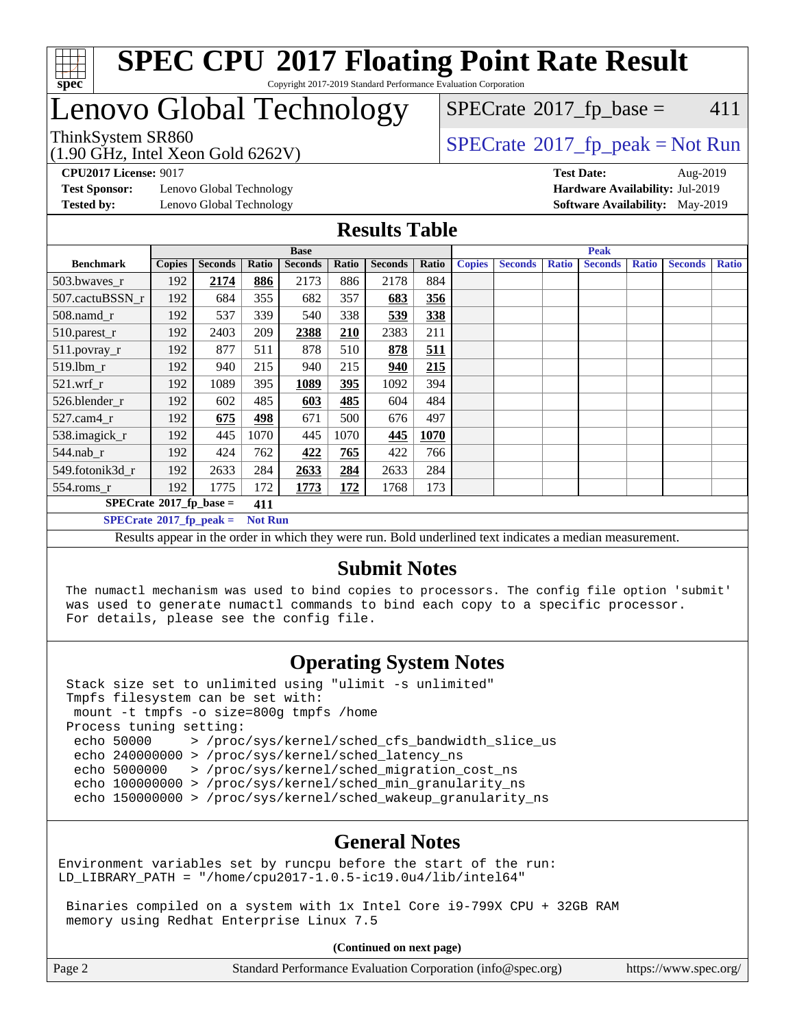

#### **[SPEC CPU](http://www.spec.org/auto/cpu2017/Docs/result-fields.html#SPECCPU2017FloatingPointRateResult)[2017 Floating Point Rate Result](http://www.spec.org/auto/cpu2017/Docs/result-fields.html#SPECCPU2017FloatingPointRateResult)** Copyright 2017-2019 Standard Performance Evaluation Corporation

## Lenovo Global Technology

(1.90 GHz, Intel Xeon Gold 6262V)

 $SPECTate$ <sup>®</sup>[2017\\_fp\\_base =](http://www.spec.org/auto/cpu2017/Docs/result-fields.html#SPECrate2017fpbase) 411

 $SPECTate@2017_fp\_peak = Not Run$ 

**[Test Sponsor:](http://www.spec.org/auto/cpu2017/Docs/result-fields.html#TestSponsor)** Lenovo Global Technology **[Hardware Availability:](http://www.spec.org/auto/cpu2017/Docs/result-fields.html#HardwareAvailability)** Jul-2019 **[Tested by:](http://www.spec.org/auto/cpu2017/Docs/result-fields.html#Testedby)** Lenovo Global Technology **[Software Availability:](http://www.spec.org/auto/cpu2017/Docs/result-fields.html#SoftwareAvailability)** May-2019

**[CPU2017 License:](http://www.spec.org/auto/cpu2017/Docs/result-fields.html#CPU2017License)** 9017 **[Test Date:](http://www.spec.org/auto/cpu2017/Docs/result-fields.html#TestDate)** Aug-2019

#### **[Results Table](http://www.spec.org/auto/cpu2017/Docs/result-fields.html#ResultsTable)**

|                                                                                                                                                                                                                                       | <b>Base</b>   |                |       |                |       |                | <b>Peak</b> |               |                |              |                |              |                |              |
|---------------------------------------------------------------------------------------------------------------------------------------------------------------------------------------------------------------------------------------|---------------|----------------|-------|----------------|-------|----------------|-------------|---------------|----------------|--------------|----------------|--------------|----------------|--------------|
| <b>Benchmark</b>                                                                                                                                                                                                                      | <b>Copies</b> | <b>Seconds</b> | Ratio | <b>Seconds</b> | Ratio | <b>Seconds</b> | Ratio       | <b>Copies</b> | <b>Seconds</b> | <b>Ratio</b> | <b>Seconds</b> | <b>Ratio</b> | <b>Seconds</b> | <b>Ratio</b> |
| 503.bwaves_r                                                                                                                                                                                                                          | 192           | 2174           | 886   | 2173           | 886   | 2178           | 884         |               |                |              |                |              |                |              |
| 507.cactuBSSN r                                                                                                                                                                                                                       | 192           | 684            | 355   | 682            | 357   | 683            | 356         |               |                |              |                |              |                |              |
| $508$ .namd_r                                                                                                                                                                                                                         | 192           | 537            | 339   | 540            | 338   | 539            | 338         |               |                |              |                |              |                |              |
| 510.parest_r                                                                                                                                                                                                                          | 192           | 2403           | 209   | 2388           | 210   | 2383           | 211         |               |                |              |                |              |                |              |
| 511.povray_r                                                                                                                                                                                                                          | 192           | 877            | 511   | 878            | 510   | 878            | <u>511</u>  |               |                |              |                |              |                |              |
| 519.lbm r                                                                                                                                                                                                                             | 192           | 940            | 215   | 940            | 215   | 940            | 215         |               |                |              |                |              |                |              |
| $521.wrf_r$                                                                                                                                                                                                                           | 192           | 1089           | 395   | 1089           | 395   | 1092           | 394         |               |                |              |                |              |                |              |
| 526.blender r                                                                                                                                                                                                                         | 192           | 602            | 485   | 603            | 485   | 604            | 484         |               |                |              |                |              |                |              |
| $527$ .cam $4r$                                                                                                                                                                                                                       | 192           | 675            | 498   | 671            | 500   | 676            | 497         |               |                |              |                |              |                |              |
| 538.imagick_r                                                                                                                                                                                                                         | 192           | 445            | 1070  | 445            | 1070  | 445            | 1070        |               |                |              |                |              |                |              |
| $544$ .nab_r                                                                                                                                                                                                                          | 192           | 424            | 762   | 422            | 765   | 422            | 766         |               |                |              |                |              |                |              |
| 549.fotonik3d r                                                                                                                                                                                                                       | 192           | 2633           | 284   | 2633           | 284   | 2633           | 284         |               |                |              |                |              |                |              |
| $554$ .roms_r                                                                                                                                                                                                                         | 192           | 1775           | 172   | 1773           | 172   | 1768           | 173         |               |                |              |                |              |                |              |
| $SPECrate*2017_fp\_base =$<br>411                                                                                                                                                                                                     |               |                |       |                |       |                |             |               |                |              |                |              |                |              |
| $SPECrate^{\circ}2017$ fp peak =<br><b>Not Run</b>                                                                                                                                                                                    |               |                |       |                |       |                |             |               |                |              |                |              |                |              |
| $\mathbf{D}$ and the contract of the set of the decomposition $\mathbf{D}$ of dependent of decomposition of the contract of the contract of the set of the set of the set of the set of the set of the set of the set of the set of t |               |                |       |                |       |                |             |               |                |              |                |              |                |              |

Results appear in the [order in which they were run](http://www.spec.org/auto/cpu2017/Docs/result-fields.html#RunOrder). Bold underlined text [indicates a median measurement.](http://www.spec.org/auto/cpu2017/Docs/result-fields.html#Median)

### **[Submit Notes](http://www.spec.org/auto/cpu2017/Docs/result-fields.html#SubmitNotes)**

 The numactl mechanism was used to bind copies to processors. The config file option 'submit' was used to generate numactl commands to bind each copy to a specific processor. For details, please see the config file.

## **[Operating System Notes](http://www.spec.org/auto/cpu2017/Docs/result-fields.html#OperatingSystemNotes)**

 Stack size set to unlimited using "ulimit -s unlimited" Tmpfs filesystem can be set with: mount -t tmpfs -o size=800g tmpfs /home Process tuning setting: echo 50000 > /proc/sys/kernel/sched\_cfs\_bandwidth\_slice\_us echo 240000000 > /proc/sys/kernel/sched\_latency\_ns echo 5000000 > /proc/sys/kernel/sched\_migration\_cost\_ns echo 100000000 > /proc/sys/kernel/sched\_min\_granularity\_ns echo 150000000 > /proc/sys/kernel/sched\_wakeup\_granularity\_ns

### **[General Notes](http://www.spec.org/auto/cpu2017/Docs/result-fields.html#GeneralNotes)**

Environment variables set by runcpu before the start of the run: LD\_LIBRARY\_PATH = "/home/cpu2017-1.0.5-ic19.0u4/lib/intel64"

 Binaries compiled on a system with 1x Intel Core i9-799X CPU + 32GB RAM memory using Redhat Enterprise Linux 7.5

**(Continued on next page)**

| Page 2 | Standard Performance Evaluation Corporation (info@spec.org) | https://www.spec.org/ |
|--------|-------------------------------------------------------------|-----------------------|
|--------|-------------------------------------------------------------|-----------------------|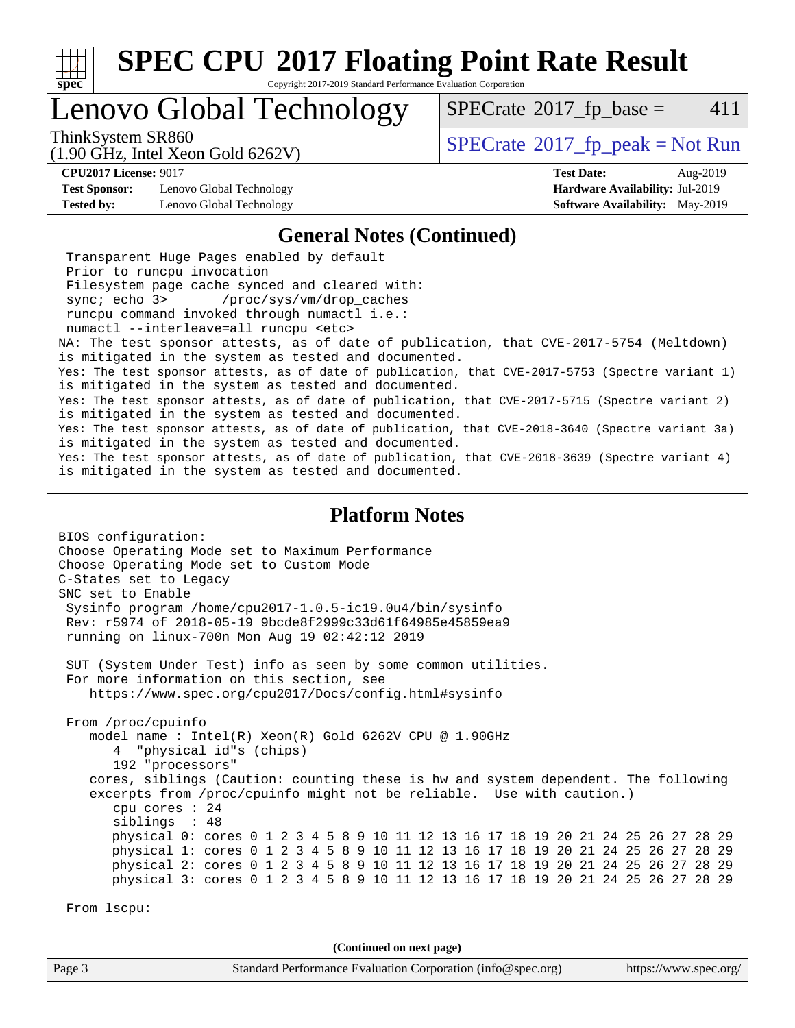

Copyright 2017-2019 Standard Performance Evaluation Corporation

## Lenovo Global Technology

 $SPECTate$ <sup>®</sup>[2017\\_fp\\_base =](http://www.spec.org/auto/cpu2017/Docs/result-fields.html#SPECrate2017fpbase) 411

(1.90 GHz, Intel Xeon Gold 6262V)

ThinkSystem SR860<br>(1.00 CHz, Intel Year Gald 6262V) [SPECrate](http://www.spec.org/auto/cpu2017/Docs/result-fields.html#SPECrate2017fppeak)®[2017\\_fp\\_peak = N](http://www.spec.org/auto/cpu2017/Docs/result-fields.html#SPECrate2017fppeak)ot Run

**[CPU2017 License:](http://www.spec.org/auto/cpu2017/Docs/result-fields.html#CPU2017License)** 9017 **[Test Date:](http://www.spec.org/auto/cpu2017/Docs/result-fields.html#TestDate)** Aug-2019

**[Test Sponsor:](http://www.spec.org/auto/cpu2017/Docs/result-fields.html#TestSponsor)** Lenovo Global Technology **[Hardware Availability:](http://www.spec.org/auto/cpu2017/Docs/result-fields.html#HardwareAvailability)** Jul-2019 **[Tested by:](http://www.spec.org/auto/cpu2017/Docs/result-fields.html#Testedby)** Lenovo Global Technology **[Software Availability:](http://www.spec.org/auto/cpu2017/Docs/result-fields.html#SoftwareAvailability)** May-2019

#### **[General Notes \(Continued\)](http://www.spec.org/auto/cpu2017/Docs/result-fields.html#GeneralNotes)**

 Transparent Huge Pages enabled by default Prior to runcpu invocation Filesystem page cache synced and cleared with: sync; echo 3> /proc/sys/vm/drop\_caches runcpu command invoked through numactl i.e.: numactl --interleave=all runcpu <etc> NA: The test sponsor attests, as of date of publication, that CVE-2017-5754 (Meltdown) is mitigated in the system as tested and documented. Yes: The test sponsor attests, as of date of publication, that CVE-2017-5753 (Spectre variant 1) is mitigated in the system as tested and documented. Yes: The test sponsor attests, as of date of publication, that CVE-2017-5715 (Spectre variant 2) is mitigated in the system as tested and documented. Yes: The test sponsor attests, as of date of publication, that CVE-2018-3640 (Spectre variant 3a) is mitigated in the system as tested and documented. Yes: The test sponsor attests, as of date of publication, that CVE-2018-3639 (Spectre variant 4) is mitigated in the system as tested and documented.

#### **[Platform Notes](http://www.spec.org/auto/cpu2017/Docs/result-fields.html#PlatformNotes)**

BIOS configuration: Choose Operating Mode set to Maximum Performance Choose Operating Mode set to Custom Mode C-States set to Legacy SNC set to Enable Sysinfo program /home/cpu2017-1.0.5-ic19.0u4/bin/sysinfo Rev: r5974 of 2018-05-19 9bcde8f2999c33d61f64985e45859ea9 running on linux-700n Mon Aug 19 02:42:12 2019 SUT (System Under Test) info as seen by some common utilities. For more information on this section, see <https://www.spec.org/cpu2017/Docs/config.html#sysinfo> From /proc/cpuinfo model name : Intel(R) Xeon(R) Gold 6262V CPU @ 1.90GHz 4 "physical id"s (chips) 192 "processors" cores, siblings (Caution: counting these is hw and system dependent. The following excerpts from /proc/cpuinfo might not be reliable. Use with caution.) cpu cores : 24 siblings : 48 physical 0: cores 0 1 2 3 4 5 8 9 10 11 12 13 16 17 18 19 20 21 24 25 26 27 28 29 physical 1: cores 0 1 2 3 4 5 8 9 10 11 12 13 16 17 18 19 20 21 24 25 26 27 28 29 physical 2: cores 0 1 2 3 4 5 8 9 10 11 12 13 16 17 18 19 20 21 24 25 26 27 28 29 physical 3: cores 0 1 2 3 4 5 8 9 10 11 12 13 16 17 18 19 20 21 24 25 26 27 28 29 From lscpu: **(Continued on next page)**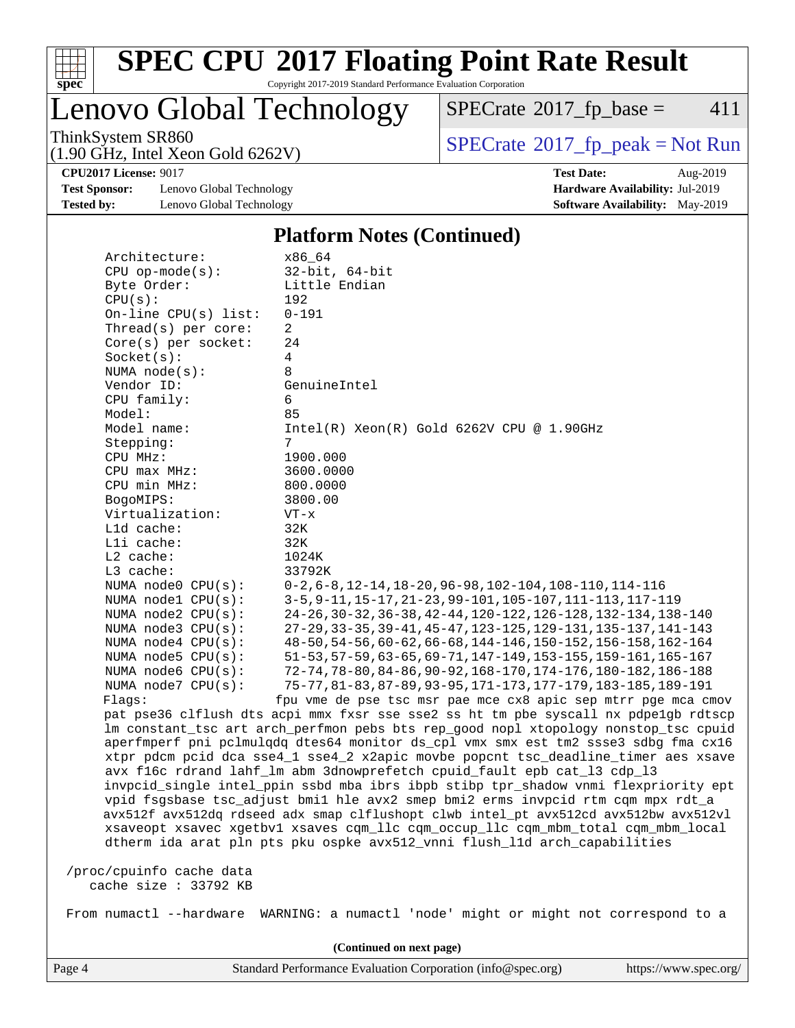

Copyright 2017-2019 Standard Performance Evaluation Corporation

Lenovo Global Technology

 $SPECTate@2017_fp\_base = 411$ 

(1.90 GHz, Intel Xeon Gold 6262V)

ThinkSystem SR860<br>(1.90 GHz, Intel Xeon Gold 6262V) [SPECrate](http://www.spec.org/auto/cpu2017/Docs/result-fields.html#SPECrate2017fppeak)®[2017\\_fp\\_peak = N](http://www.spec.org/auto/cpu2017/Docs/result-fields.html#SPECrate2017fppeak)ot Run

**[Test Sponsor:](http://www.spec.org/auto/cpu2017/Docs/result-fields.html#TestSponsor)** Lenovo Global Technology **[Hardware Availability:](http://www.spec.org/auto/cpu2017/Docs/result-fields.html#HardwareAvailability)** Jul-2019 **[Tested by:](http://www.spec.org/auto/cpu2017/Docs/result-fields.html#Testedby)** Lenovo Global Technology **[Software Availability:](http://www.spec.org/auto/cpu2017/Docs/result-fields.html#SoftwareAvailability)** May-2019

**[CPU2017 License:](http://www.spec.org/auto/cpu2017/Docs/result-fields.html#CPU2017License)** 9017 **[Test Date:](http://www.spec.org/auto/cpu2017/Docs/result-fields.html#TestDate)** Aug-2019

#### **[Platform Notes \(Continued\)](http://www.spec.org/auto/cpu2017/Docs/result-fields.html#PlatformNotes)**

| Architecture:            | x86_64                                                                               |
|--------------------------|--------------------------------------------------------------------------------------|
| $CPU$ op-mode( $s$ ):    | $32$ -bit, $64$ -bit                                                                 |
| Byte Order:              | Little Endian                                                                        |
| CPU(s):                  | 192                                                                                  |
| On-line $CPU(s)$ list:   | $0 - 191$                                                                            |
| Thread( $s$ ) per core:  | 2                                                                                    |
| $Core(s)$ per socket:    | 24                                                                                   |
| Socket(s):               | 4                                                                                    |
| NUMA $node(s):$          | 8                                                                                    |
| Vendor ID:               | GenuineIntel                                                                         |
| CPU family:              | 6                                                                                    |
| Model:                   | 85                                                                                   |
| Model name:              | $Intel(R) Xeon(R) Gold 6262V CPU @ 1.90GHz$                                          |
| Stepping:                | 7                                                                                    |
| CPU MHz:                 | 1900.000                                                                             |
| CPU max MHz:             | 3600.0000                                                                            |
| CPU min MHz:             | 800.0000                                                                             |
| BogoMIPS:                | 3800.00                                                                              |
| Virtualization:          | $VT - x$                                                                             |
| L1d cache:               | 32K                                                                                  |
| Lli cache:               | 32K                                                                                  |
| L2 cache:                | 1024K                                                                                |
| L3 cache:                | 33792K                                                                               |
| NUMA node0 CPU(s):       | $0-2, 6-8, 12-14, 18-20, 96-98, 102-104, 108-110, 114-116$                           |
| NUMA nodel $CPU(s)$ :    | 3-5, 9-11, 15-17, 21-23, 99-101, 105-107, 111-113, 117-119                           |
| NUMA $node2$ $CPU(s)$ :  | 24-26, 30-32, 36-38, 42-44, 120-122, 126-128, 132-134, 138-140                       |
| NUMA $node3$ CPU $(s)$ : | 27-29, 33-35, 39-41, 45-47, 123-125, 129-131, 135-137, 141-143                       |
| NUMA node4 CPU(s):       | 48-50, 54-56, 60-62, 66-68, 144-146, 150-152, 156-158, 162-164                       |
| NUMA $node5$ $CPU(s):$   | 51-53, 57-59, 63-65, 69-71, 147-149, 153-155, 159-161, 165-167                       |
| NUMA node6 CPU(s):       | 72-74, 78-80, 84-86, 90-92, 168-170, 174-176, 180-182, 186-188                       |
| NUMA $node7$ CPU $(s)$ : | 75-77, 81-83, 87-89, 93-95, 171-173, 177-179, 183-185, 189-191                       |
| Flaqs:                   | fpu vme de pse tsc msr pae mce cx8 apic sep mtrr pge mca cmov                        |
|                          | pat pse36 clflush dts acpi mmx fxsr sse sse2 ss ht tm pbe syscall nx pdpe1gb rdtscp  |
|                          | lm constant_tsc art arch_perfmon pebs bts rep_good nopl xtopology nonstop_tsc cpuid  |
|                          | aperfmperf pni pclmulqdq dtes64 monitor ds_cpl vmx smx est tm2 ssse3 sdbg fma cx16   |
|                          | xtpr pdcm pcid dca sse4_1 sse4_2 x2apic movbe popcnt tsc_deadline_timer aes xsave    |
|                          | avx f16c rdrand lahf_lm abm 3dnowprefetch cpuid_fault epb cat_13 cdp_13              |
|                          | invpcid_single intel_ppin ssbd mba ibrs ibpb stibp tpr_shadow vnmi flexpriority ept  |
|                          | vpid fsgsbase tsc_adjust bmil hle avx2 smep bmi2 erms invpcid rtm cqm mpx rdt_a      |
|                          | avx512f avx512dq rdseed adx smap clflushopt clwb intel_pt avx512cd avx512bw avx512vl |
|                          | xsaveopt xsavec xgetbvl xsaves cqm_llc cqm_occup_llc cqm_mbm_total cqm_mbm_local     |
|                          | dtherm ida arat pln pts pku ospke avx512_vnni flush_lld arch_capabilities            |
|                          |                                                                                      |
| /proc/cpuinfo cache data |                                                                                      |
| cache size $: 33792$ KB  |                                                                                      |
|                          |                                                                                      |
| From numactl --hardware  | WARNING: a numactl 'node' might or might not correspond to a                         |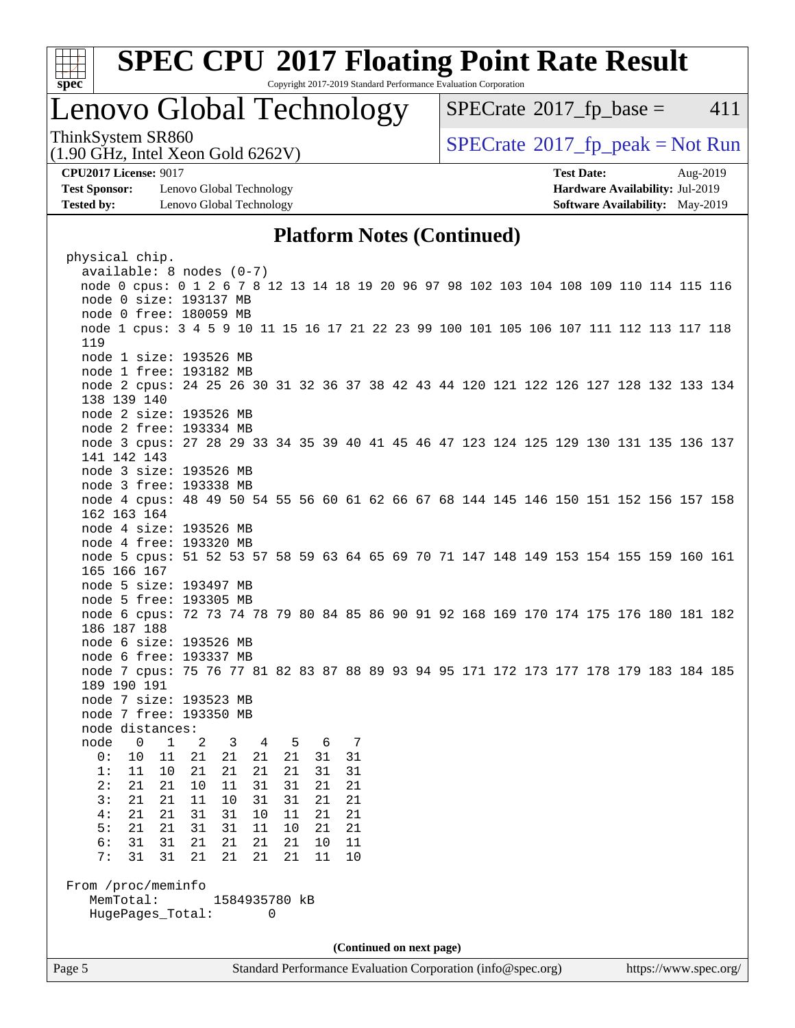

Copyright 2017-2019 Standard Performance Evaluation Corporation

## Lenovo Global Technology

 $SPECTate$ <sup>®</sup>[2017\\_fp\\_base =](http://www.spec.org/auto/cpu2017/Docs/result-fields.html#SPECrate2017fpbase) 411

ThinkSystem SR860<br>(1.00 CHz, Intel Year Gald 6262V) [SPECrate](http://www.spec.org/auto/cpu2017/Docs/result-fields.html#SPECrate2017fppeak)®[2017\\_fp\\_peak = N](http://www.spec.org/auto/cpu2017/Docs/result-fields.html#SPECrate2017fppeak)ot Run

**[Test Sponsor:](http://www.spec.org/auto/cpu2017/Docs/result-fields.html#TestSponsor)** Lenovo Global Technology **[Hardware Availability:](http://www.spec.org/auto/cpu2017/Docs/result-fields.html#HardwareAvailability)** Jul-2019 **[Tested by:](http://www.spec.org/auto/cpu2017/Docs/result-fields.html#Testedby)** Lenovo Global Technology **[Software Availability:](http://www.spec.org/auto/cpu2017/Docs/result-fields.html#SoftwareAvailability)** May-2019

(1.90 GHz, Intel Xeon Gold 6262V)

**[CPU2017 License:](http://www.spec.org/auto/cpu2017/Docs/result-fields.html#CPU2017License)** 9017 **[Test Date:](http://www.spec.org/auto/cpu2017/Docs/result-fields.html#TestDate)** Aug-2019

## **[Platform Notes \(Continued\)](http://www.spec.org/auto/cpu2017/Docs/result-fields.html#PlatformNotes)**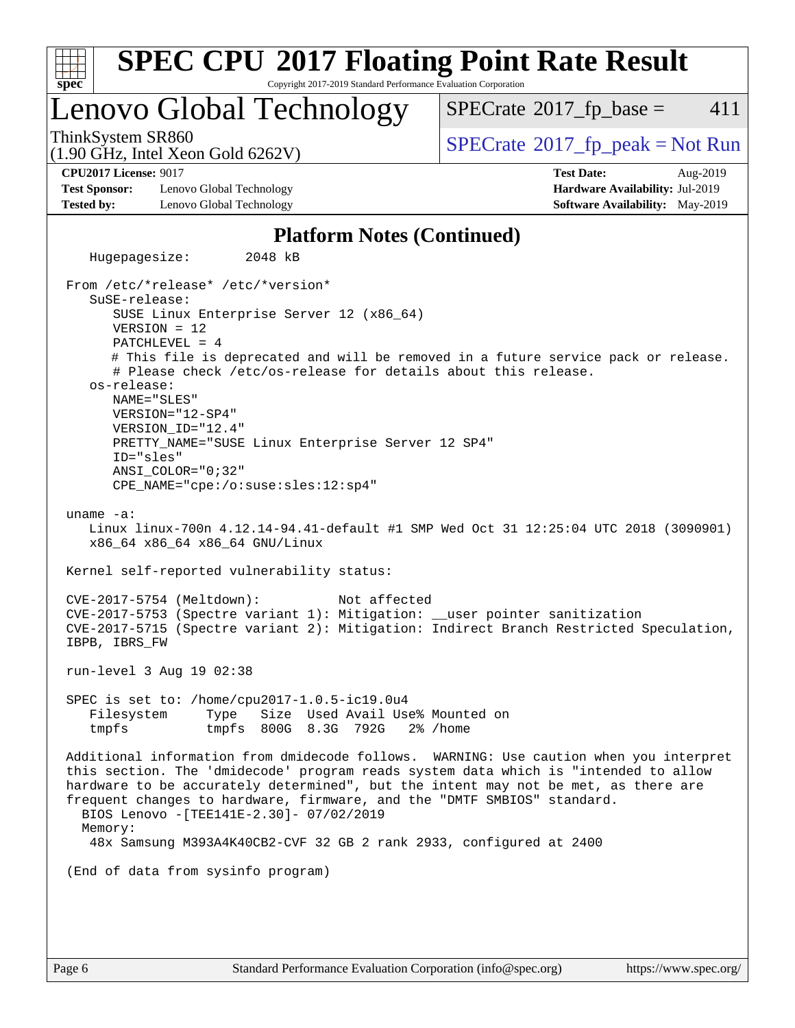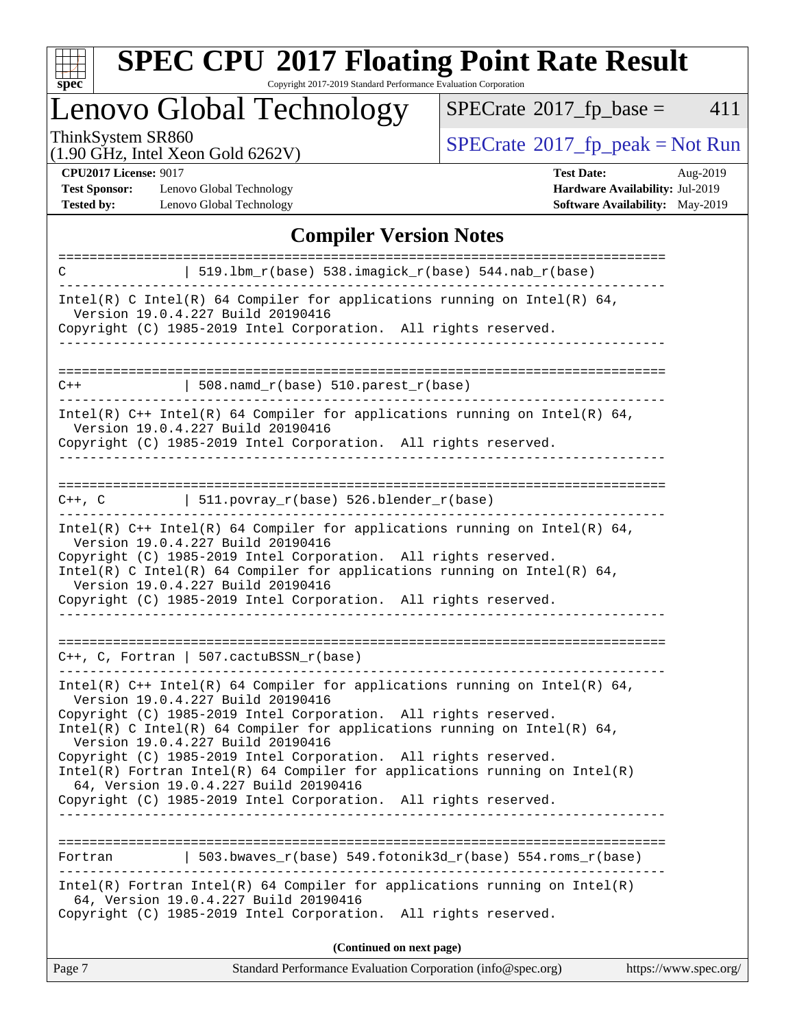

Copyright 2017-2019 Standard Performance Evaluation Corporation

# Lenovo Global Technology

 $SPECTate@2017_fp\_base = 411$ 

(1.90 GHz, Intel Xeon Gold 6262V)

ThinkSystem SR860<br>(1.90 GHz, Intel Xeon Gold 6262V) [SPECrate](http://www.spec.org/auto/cpu2017/Docs/result-fields.html#SPECrate2017fppeak)®[2017\\_fp\\_peak = N](http://www.spec.org/auto/cpu2017/Docs/result-fields.html#SPECrate2017fppeak)ot Run

**[Test Sponsor:](http://www.spec.org/auto/cpu2017/Docs/result-fields.html#TestSponsor)** Lenovo Global Technology **[Hardware Availability:](http://www.spec.org/auto/cpu2017/Docs/result-fields.html#HardwareAvailability)** Jul-2019 **[Tested by:](http://www.spec.org/auto/cpu2017/Docs/result-fields.html#Testedby)** Lenovo Global Technology **[Software Availability:](http://www.spec.org/auto/cpu2017/Docs/result-fields.html#SoftwareAvailability)** May-2019

**[CPU2017 License:](http://www.spec.org/auto/cpu2017/Docs/result-fields.html#CPU2017License)** 9017 **[Test Date:](http://www.spec.org/auto/cpu2017/Docs/result-fields.html#TestDate)** Aug-2019

## **[Compiler Version Notes](http://www.spec.org/auto/cpu2017/Docs/result-fields.html#CompilerVersionNotes)**

| C       | 519.1bm_r(base) 538.imagick_r(base) 544.nab_r(base)                                                                                                                                                                                                                                                                                                                      |
|---------|--------------------------------------------------------------------------------------------------------------------------------------------------------------------------------------------------------------------------------------------------------------------------------------------------------------------------------------------------------------------------|
|         | Intel(R) C Intel(R) 64 Compiler for applications running on Intel(R) 64,<br>Version 19.0.4.227 Build 20190416                                                                                                                                                                                                                                                            |
|         | Copyright (C) 1985-2019 Intel Corporation. All rights reserved.                                                                                                                                                                                                                                                                                                          |
|         |                                                                                                                                                                                                                                                                                                                                                                          |
| $C++$   | $508.namd_r(base) 510.parest_r(base)$                                                                                                                                                                                                                                                                                                                                    |
|         | Intel(R) $C++$ Intel(R) 64 Compiler for applications running on Intel(R) 64,<br>Version 19.0.4.227 Build 20190416<br>Copyright (C) 1985-2019 Intel Corporation. All rights reserved.<br>-----------------                                                                                                                                                                |
|         | $C++$ , C $511.povray_r(base) 526.blender_r(base)$                                                                                                                                                                                                                                                                                                                       |
|         | Intel(R) $C++$ Intel(R) 64 Compiler for applications running on Intel(R) 64,<br>Version 19.0.4.227 Build 20190416<br>Copyright (C) 1985-2019 Intel Corporation. All rights reserved.<br>Intel(R) C Intel(R) 64 Compiler for applications running on Intel(R) 64,<br>Version 19.0.4.227 Build 20190416<br>Copyright (C) 1985-2019 Intel Corporation. All rights reserved. |
|         | $C++$ , C, Fortran   507.cactuBSSN_r(base)                                                                                                                                                                                                                                                                                                                               |
|         | Intel(R) $C++$ Intel(R) 64 Compiler for applications running on Intel(R) 64,<br>Version 19.0.4.227 Build 20190416<br>Copyright (C) 1985-2019 Intel Corporation. All rights reserved.<br>Intel(R) C Intel(R) 64 Compiler for applications running on Intel(R) 64,                                                                                                         |
|         | Version 19.0.4.227 Build 20190416                                                                                                                                                                                                                                                                                                                                        |
|         | Copyright (C) 1985-2019 Intel Corporation. All rights reserved.<br>$Intel(R)$ Fortran Intel(R) 64 Compiler for applications running on Intel(R)<br>64, Version 19.0.4.227 Build 20190416                                                                                                                                                                                 |
|         | Copyright (C) 1985-2019 Intel Corporation. All rights reserved.                                                                                                                                                                                                                                                                                                          |
|         |                                                                                                                                                                                                                                                                                                                                                                          |
| Fortran | 503.bwaves $r(base)$ 549.fotonik3d $r(base)$ 554.roms $r(base)$                                                                                                                                                                                                                                                                                                          |
|         | Intel(R) Fortran Intel(R) 64 Compiler for applications running on $Intel(R)$<br>64, Version 19.0.4.227 Build 20190416<br>Copyright (C) 1985-2019 Intel Corporation. All rights reserved.                                                                                                                                                                                 |
|         | (Continued on next page)                                                                                                                                                                                                                                                                                                                                                 |
| Page 7  | Standard Performance Evaluation Corporation (info@spec.org)<br>https://www.spec.org/                                                                                                                                                                                                                                                                                     |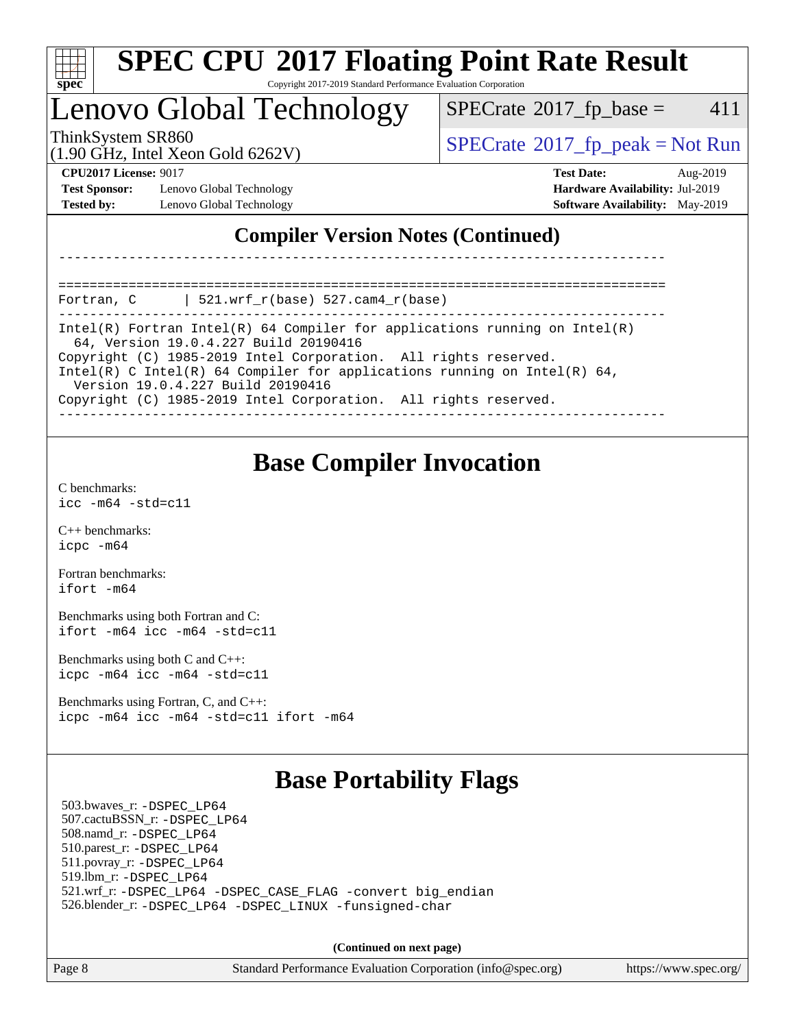

#### **[SPEC CPU](http://www.spec.org/auto/cpu2017/Docs/result-fields.html#SPECCPU2017FloatingPointRateResult)[2017 Floating Point Rate Result](http://www.spec.org/auto/cpu2017/Docs/result-fields.html#SPECCPU2017FloatingPointRateResult)** Copyright 2017-2019 Standard Performance Evaluation Corporation

## Lenovo Global Technology

 $SPECTate$ <sup>®</sup>[2017\\_fp\\_base =](http://www.spec.org/auto/cpu2017/Docs/result-fields.html#SPECrate2017fpbase) 411

(1.90 GHz, Intel Xeon Gold 6262V)

ThinkSystem SR860<br>(1.00 CHz, Intel Year Gald 6262V) [SPECrate](http://www.spec.org/auto/cpu2017/Docs/result-fields.html#SPECrate2017fppeak)®[2017\\_fp\\_peak = N](http://www.spec.org/auto/cpu2017/Docs/result-fields.html#SPECrate2017fppeak)ot Run

**[Test Sponsor:](http://www.spec.org/auto/cpu2017/Docs/result-fields.html#TestSponsor)** Lenovo Global Technology **[Hardware Availability:](http://www.spec.org/auto/cpu2017/Docs/result-fields.html#HardwareAvailability)** Jul-2019 **[Tested by:](http://www.spec.org/auto/cpu2017/Docs/result-fields.html#Testedby)** Lenovo Global Technology **[Software Availability:](http://www.spec.org/auto/cpu2017/Docs/result-fields.html#SoftwareAvailability)** May-2019

**[CPU2017 License:](http://www.spec.org/auto/cpu2017/Docs/result-fields.html#CPU2017License)** 9017 **[Test Date:](http://www.spec.org/auto/cpu2017/Docs/result-fields.html#TestDate)** Aug-2019

## **[Compiler Version Notes \(Continued\)](http://www.spec.org/auto/cpu2017/Docs/result-fields.html#CompilerVersionNotes)**

============================================================================== Fortran, C | 521.wrf\_r(base) 527.cam4\_r(base)

------------------------------------------------------------------------------ Intel(R) Fortran Intel(R) 64 Compiler for applications running on Intel(R) 64, Version 19.0.4.227 Build 20190416

------------------------------------------------------------------------------

Copyright (C) 1985-2019 Intel Corporation. All rights reserved.

Intel(R) C Intel(R) 64 Compiler for applications running on Intel(R) 64,

Version 19.0.4.227 Build 20190416

Copyright (C) 1985-2019 Intel Corporation. All rights reserved.

------------------------------------------------------------------------------

## **[Base Compiler Invocation](http://www.spec.org/auto/cpu2017/Docs/result-fields.html#BaseCompilerInvocation)**

[C benchmarks](http://www.spec.org/auto/cpu2017/Docs/result-fields.html#Cbenchmarks): [icc -m64 -std=c11](http://www.spec.org/cpu2017/results/res2019q3/cpu2017-20190902-17501.flags.html#user_CCbase_intel_icc_64bit_c11_33ee0cdaae7deeeab2a9725423ba97205ce30f63b9926c2519791662299b76a0318f32ddfffdc46587804de3178b4f9328c46fa7c2b0cd779d7a61945c91cd35)

[C++ benchmarks:](http://www.spec.org/auto/cpu2017/Docs/result-fields.html#CXXbenchmarks) [icpc -m64](http://www.spec.org/cpu2017/results/res2019q3/cpu2017-20190902-17501.flags.html#user_CXXbase_intel_icpc_64bit_4ecb2543ae3f1412ef961e0650ca070fec7b7afdcd6ed48761b84423119d1bf6bdf5cad15b44d48e7256388bc77273b966e5eb805aefd121eb22e9299b2ec9d9)

[Fortran benchmarks](http://www.spec.org/auto/cpu2017/Docs/result-fields.html#Fortranbenchmarks): [ifort -m64](http://www.spec.org/cpu2017/results/res2019q3/cpu2017-20190902-17501.flags.html#user_FCbase_intel_ifort_64bit_24f2bb282fbaeffd6157abe4f878425411749daecae9a33200eee2bee2fe76f3b89351d69a8130dd5949958ce389cf37ff59a95e7a40d588e8d3a57e0c3fd751)

[Benchmarks using both Fortran and C](http://www.spec.org/auto/cpu2017/Docs/result-fields.html#BenchmarksusingbothFortranandC): [ifort -m64](http://www.spec.org/cpu2017/results/res2019q3/cpu2017-20190902-17501.flags.html#user_CC_FCbase_intel_ifort_64bit_24f2bb282fbaeffd6157abe4f878425411749daecae9a33200eee2bee2fe76f3b89351d69a8130dd5949958ce389cf37ff59a95e7a40d588e8d3a57e0c3fd751) [icc -m64 -std=c11](http://www.spec.org/cpu2017/results/res2019q3/cpu2017-20190902-17501.flags.html#user_CC_FCbase_intel_icc_64bit_c11_33ee0cdaae7deeeab2a9725423ba97205ce30f63b9926c2519791662299b76a0318f32ddfffdc46587804de3178b4f9328c46fa7c2b0cd779d7a61945c91cd35)

[Benchmarks using both C and C++](http://www.spec.org/auto/cpu2017/Docs/result-fields.html#BenchmarksusingbothCandCXX): [icpc -m64](http://www.spec.org/cpu2017/results/res2019q3/cpu2017-20190902-17501.flags.html#user_CC_CXXbase_intel_icpc_64bit_4ecb2543ae3f1412ef961e0650ca070fec7b7afdcd6ed48761b84423119d1bf6bdf5cad15b44d48e7256388bc77273b966e5eb805aefd121eb22e9299b2ec9d9) [icc -m64 -std=c11](http://www.spec.org/cpu2017/results/res2019q3/cpu2017-20190902-17501.flags.html#user_CC_CXXbase_intel_icc_64bit_c11_33ee0cdaae7deeeab2a9725423ba97205ce30f63b9926c2519791662299b76a0318f32ddfffdc46587804de3178b4f9328c46fa7c2b0cd779d7a61945c91cd35)

[Benchmarks using Fortran, C, and C++:](http://www.spec.org/auto/cpu2017/Docs/result-fields.html#BenchmarksusingFortranCandCXX) [icpc -m64](http://www.spec.org/cpu2017/results/res2019q3/cpu2017-20190902-17501.flags.html#user_CC_CXX_FCbase_intel_icpc_64bit_4ecb2543ae3f1412ef961e0650ca070fec7b7afdcd6ed48761b84423119d1bf6bdf5cad15b44d48e7256388bc77273b966e5eb805aefd121eb22e9299b2ec9d9) [icc -m64 -std=c11](http://www.spec.org/cpu2017/results/res2019q3/cpu2017-20190902-17501.flags.html#user_CC_CXX_FCbase_intel_icc_64bit_c11_33ee0cdaae7deeeab2a9725423ba97205ce30f63b9926c2519791662299b76a0318f32ddfffdc46587804de3178b4f9328c46fa7c2b0cd779d7a61945c91cd35) [ifort -m64](http://www.spec.org/cpu2017/results/res2019q3/cpu2017-20190902-17501.flags.html#user_CC_CXX_FCbase_intel_ifort_64bit_24f2bb282fbaeffd6157abe4f878425411749daecae9a33200eee2bee2fe76f3b89351d69a8130dd5949958ce389cf37ff59a95e7a40d588e8d3a57e0c3fd751)

## **[Base Portability Flags](http://www.spec.org/auto/cpu2017/Docs/result-fields.html#BasePortabilityFlags)**

 503.bwaves\_r: [-DSPEC\\_LP64](http://www.spec.org/cpu2017/results/res2019q3/cpu2017-20190902-17501.flags.html#suite_basePORTABILITY503_bwaves_r_DSPEC_LP64) 507.cactuBSSN\_r: [-DSPEC\\_LP64](http://www.spec.org/cpu2017/results/res2019q3/cpu2017-20190902-17501.flags.html#suite_basePORTABILITY507_cactuBSSN_r_DSPEC_LP64) 508.namd\_r: [-DSPEC\\_LP64](http://www.spec.org/cpu2017/results/res2019q3/cpu2017-20190902-17501.flags.html#suite_basePORTABILITY508_namd_r_DSPEC_LP64) 510.parest\_r: [-DSPEC\\_LP64](http://www.spec.org/cpu2017/results/res2019q3/cpu2017-20190902-17501.flags.html#suite_basePORTABILITY510_parest_r_DSPEC_LP64) 511.povray\_r: [-DSPEC\\_LP64](http://www.spec.org/cpu2017/results/res2019q3/cpu2017-20190902-17501.flags.html#suite_basePORTABILITY511_povray_r_DSPEC_LP64) 519.lbm\_r: [-DSPEC\\_LP64](http://www.spec.org/cpu2017/results/res2019q3/cpu2017-20190902-17501.flags.html#suite_basePORTABILITY519_lbm_r_DSPEC_LP64) 521.wrf\_r: [-DSPEC\\_LP64](http://www.spec.org/cpu2017/results/res2019q3/cpu2017-20190902-17501.flags.html#suite_basePORTABILITY521_wrf_r_DSPEC_LP64) [-DSPEC\\_CASE\\_FLAG](http://www.spec.org/cpu2017/results/res2019q3/cpu2017-20190902-17501.flags.html#b521.wrf_r_baseCPORTABILITY_DSPEC_CASE_FLAG) [-convert big\\_endian](http://www.spec.org/cpu2017/results/res2019q3/cpu2017-20190902-17501.flags.html#user_baseFPORTABILITY521_wrf_r_convert_big_endian_c3194028bc08c63ac5d04de18c48ce6d347e4e562e8892b8bdbdc0214820426deb8554edfa529a3fb25a586e65a3d812c835984020483e7e73212c4d31a38223) 526.blender\_r: [-DSPEC\\_LP64](http://www.spec.org/cpu2017/results/res2019q3/cpu2017-20190902-17501.flags.html#suite_basePORTABILITY526_blender_r_DSPEC_LP64) [-DSPEC\\_LINUX](http://www.spec.org/cpu2017/results/res2019q3/cpu2017-20190902-17501.flags.html#b526.blender_r_baseCPORTABILITY_DSPEC_LINUX) [-funsigned-char](http://www.spec.org/cpu2017/results/res2019q3/cpu2017-20190902-17501.flags.html#user_baseCPORTABILITY526_blender_r_force_uchar_40c60f00ab013830e2dd6774aeded3ff59883ba5a1fc5fc14077f794d777847726e2a5858cbc7672e36e1b067e7e5c1d9a74f7176df07886a243d7cc18edfe67)

**(Continued on next page)**

Page 8 Standard Performance Evaluation Corporation [\(info@spec.org\)](mailto:info@spec.org) <https://www.spec.org/>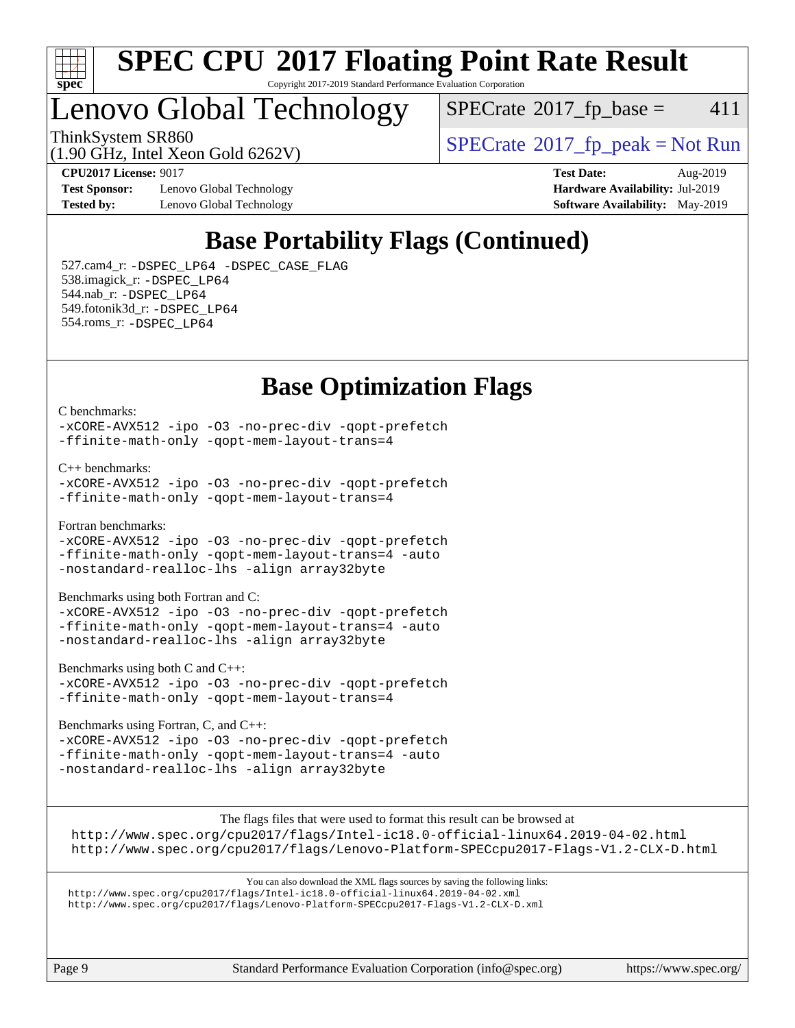

#### **[SPEC CPU](http://www.spec.org/auto/cpu2017/Docs/result-fields.html#SPECCPU2017FloatingPointRateResult)[2017 Floating Point Rate Result](http://www.spec.org/auto/cpu2017/Docs/result-fields.html#SPECCPU2017FloatingPointRateResult)** Copyright 2017-2019 Standard Performance Evaluation Corporation

## Lenovo Global Technology

 $SPECTate@2017<sub>fr</sub> base = 411$ 

ThinkSystem SR860<br>(1.00 CHz, Intel Year Gald 6262V) [SPECrate](http://www.spec.org/auto/cpu2017/Docs/result-fields.html#SPECrate2017fppeak)®[2017\\_fp\\_peak = N](http://www.spec.org/auto/cpu2017/Docs/result-fields.html#SPECrate2017fppeak)ot Run

(1.90 GHz, Intel Xeon Gold 6262V)

**[Test Sponsor:](http://www.spec.org/auto/cpu2017/Docs/result-fields.html#TestSponsor)** Lenovo Global Technology **[Hardware Availability:](http://www.spec.org/auto/cpu2017/Docs/result-fields.html#HardwareAvailability)** Jul-2019 **[Tested by:](http://www.spec.org/auto/cpu2017/Docs/result-fields.html#Testedby)** Lenovo Global Technology **[Software Availability:](http://www.spec.org/auto/cpu2017/Docs/result-fields.html#SoftwareAvailability)** May-2019

**[CPU2017 License:](http://www.spec.org/auto/cpu2017/Docs/result-fields.html#CPU2017License)** 9017 **[Test Date:](http://www.spec.org/auto/cpu2017/Docs/result-fields.html#TestDate)** Aug-2019

## **[Base Portability Flags \(Continued\)](http://www.spec.org/auto/cpu2017/Docs/result-fields.html#BasePortabilityFlags)**

 527.cam4\_r: [-DSPEC\\_LP64](http://www.spec.org/cpu2017/results/res2019q3/cpu2017-20190902-17501.flags.html#suite_basePORTABILITY527_cam4_r_DSPEC_LP64) [-DSPEC\\_CASE\\_FLAG](http://www.spec.org/cpu2017/results/res2019q3/cpu2017-20190902-17501.flags.html#b527.cam4_r_baseCPORTABILITY_DSPEC_CASE_FLAG) 538.imagick\_r: [-DSPEC\\_LP64](http://www.spec.org/cpu2017/results/res2019q3/cpu2017-20190902-17501.flags.html#suite_basePORTABILITY538_imagick_r_DSPEC_LP64) 544.nab\_r: [-DSPEC\\_LP64](http://www.spec.org/cpu2017/results/res2019q3/cpu2017-20190902-17501.flags.html#suite_basePORTABILITY544_nab_r_DSPEC_LP64) 549.fotonik3d\_r: [-DSPEC\\_LP64](http://www.spec.org/cpu2017/results/res2019q3/cpu2017-20190902-17501.flags.html#suite_basePORTABILITY549_fotonik3d_r_DSPEC_LP64) 554.roms\_r: [-DSPEC\\_LP64](http://www.spec.org/cpu2017/results/res2019q3/cpu2017-20190902-17501.flags.html#suite_basePORTABILITY554_roms_r_DSPEC_LP64)

## **[Base Optimization Flags](http://www.spec.org/auto/cpu2017/Docs/result-fields.html#BaseOptimizationFlags)**

[C benchmarks](http://www.spec.org/auto/cpu2017/Docs/result-fields.html#Cbenchmarks):

[-xCORE-AVX512](http://www.spec.org/cpu2017/results/res2019q3/cpu2017-20190902-17501.flags.html#user_CCbase_f-xCORE-AVX512) [-ipo](http://www.spec.org/cpu2017/results/res2019q3/cpu2017-20190902-17501.flags.html#user_CCbase_f-ipo) [-O3](http://www.spec.org/cpu2017/results/res2019q3/cpu2017-20190902-17501.flags.html#user_CCbase_f-O3) [-no-prec-div](http://www.spec.org/cpu2017/results/res2019q3/cpu2017-20190902-17501.flags.html#user_CCbase_f-no-prec-div) [-qopt-prefetch](http://www.spec.org/cpu2017/results/res2019q3/cpu2017-20190902-17501.flags.html#user_CCbase_f-qopt-prefetch) [-ffinite-math-only](http://www.spec.org/cpu2017/results/res2019q3/cpu2017-20190902-17501.flags.html#user_CCbase_f_finite_math_only_cb91587bd2077682c4b38af759c288ed7c732db004271a9512da14a4f8007909a5f1427ecbf1a0fb78ff2a814402c6114ac565ca162485bbcae155b5e4258871) [-qopt-mem-layout-trans=4](http://www.spec.org/cpu2017/results/res2019q3/cpu2017-20190902-17501.flags.html#user_CCbase_f-qopt-mem-layout-trans_fa39e755916c150a61361b7846f310bcdf6f04e385ef281cadf3647acec3f0ae266d1a1d22d972a7087a248fd4e6ca390a3634700869573d231a252c784941a8)

[C++ benchmarks:](http://www.spec.org/auto/cpu2017/Docs/result-fields.html#CXXbenchmarks)

```
-xCORE-AVX512 -ipo -O3 -no-prec-div -qopt-prefetch
-ffinite-math-only -qopt-mem-layout-trans=4
```
[Fortran benchmarks](http://www.spec.org/auto/cpu2017/Docs/result-fields.html#Fortranbenchmarks):

[-xCORE-AVX512](http://www.spec.org/cpu2017/results/res2019q3/cpu2017-20190902-17501.flags.html#user_FCbase_f-xCORE-AVX512) [-ipo](http://www.spec.org/cpu2017/results/res2019q3/cpu2017-20190902-17501.flags.html#user_FCbase_f-ipo) [-O3](http://www.spec.org/cpu2017/results/res2019q3/cpu2017-20190902-17501.flags.html#user_FCbase_f-O3) [-no-prec-div](http://www.spec.org/cpu2017/results/res2019q3/cpu2017-20190902-17501.flags.html#user_FCbase_f-no-prec-div) [-qopt-prefetch](http://www.spec.org/cpu2017/results/res2019q3/cpu2017-20190902-17501.flags.html#user_FCbase_f-qopt-prefetch) [-ffinite-math-only](http://www.spec.org/cpu2017/results/res2019q3/cpu2017-20190902-17501.flags.html#user_FCbase_f_finite_math_only_cb91587bd2077682c4b38af759c288ed7c732db004271a9512da14a4f8007909a5f1427ecbf1a0fb78ff2a814402c6114ac565ca162485bbcae155b5e4258871) [-qopt-mem-layout-trans=4](http://www.spec.org/cpu2017/results/res2019q3/cpu2017-20190902-17501.flags.html#user_FCbase_f-qopt-mem-layout-trans_fa39e755916c150a61361b7846f310bcdf6f04e385ef281cadf3647acec3f0ae266d1a1d22d972a7087a248fd4e6ca390a3634700869573d231a252c784941a8) [-auto](http://www.spec.org/cpu2017/results/res2019q3/cpu2017-20190902-17501.flags.html#user_FCbase_f-auto) [-nostandard-realloc-lhs](http://www.spec.org/cpu2017/results/res2019q3/cpu2017-20190902-17501.flags.html#user_FCbase_f_2003_std_realloc_82b4557e90729c0f113870c07e44d33d6f5a304b4f63d4c15d2d0f1fab99f5daaed73bdb9275d9ae411527f28b936061aa8b9c8f2d63842963b95c9dd6426b8a) [-align array32byte](http://www.spec.org/cpu2017/results/res2019q3/cpu2017-20190902-17501.flags.html#user_FCbase_align_array32byte_b982fe038af199962ba9a80c053b8342c548c85b40b8e86eb3cc33dee0d7986a4af373ac2d51c3f7cf710a18d62fdce2948f201cd044323541f22fc0fffc51b6)

[Benchmarks using both Fortran and C](http://www.spec.org/auto/cpu2017/Docs/result-fields.html#BenchmarksusingbothFortranandC):

[-xCORE-AVX512](http://www.spec.org/cpu2017/results/res2019q3/cpu2017-20190902-17501.flags.html#user_CC_FCbase_f-xCORE-AVX512) [-ipo](http://www.spec.org/cpu2017/results/res2019q3/cpu2017-20190902-17501.flags.html#user_CC_FCbase_f-ipo) [-O3](http://www.spec.org/cpu2017/results/res2019q3/cpu2017-20190902-17501.flags.html#user_CC_FCbase_f-O3) [-no-prec-div](http://www.spec.org/cpu2017/results/res2019q3/cpu2017-20190902-17501.flags.html#user_CC_FCbase_f-no-prec-div) [-qopt-prefetch](http://www.spec.org/cpu2017/results/res2019q3/cpu2017-20190902-17501.flags.html#user_CC_FCbase_f-qopt-prefetch) [-ffinite-math-only](http://www.spec.org/cpu2017/results/res2019q3/cpu2017-20190902-17501.flags.html#user_CC_FCbase_f_finite_math_only_cb91587bd2077682c4b38af759c288ed7c732db004271a9512da14a4f8007909a5f1427ecbf1a0fb78ff2a814402c6114ac565ca162485bbcae155b5e4258871) [-qopt-mem-layout-trans=4](http://www.spec.org/cpu2017/results/res2019q3/cpu2017-20190902-17501.flags.html#user_CC_FCbase_f-qopt-mem-layout-trans_fa39e755916c150a61361b7846f310bcdf6f04e385ef281cadf3647acec3f0ae266d1a1d22d972a7087a248fd4e6ca390a3634700869573d231a252c784941a8) [-auto](http://www.spec.org/cpu2017/results/res2019q3/cpu2017-20190902-17501.flags.html#user_CC_FCbase_f-auto) [-nostandard-realloc-lhs](http://www.spec.org/cpu2017/results/res2019q3/cpu2017-20190902-17501.flags.html#user_CC_FCbase_f_2003_std_realloc_82b4557e90729c0f113870c07e44d33d6f5a304b4f63d4c15d2d0f1fab99f5daaed73bdb9275d9ae411527f28b936061aa8b9c8f2d63842963b95c9dd6426b8a) [-align array32byte](http://www.spec.org/cpu2017/results/res2019q3/cpu2017-20190902-17501.flags.html#user_CC_FCbase_align_array32byte_b982fe038af199962ba9a80c053b8342c548c85b40b8e86eb3cc33dee0d7986a4af373ac2d51c3f7cf710a18d62fdce2948f201cd044323541f22fc0fffc51b6)

[Benchmarks using both C and C++](http://www.spec.org/auto/cpu2017/Docs/result-fields.html#BenchmarksusingbothCandCXX):

[-xCORE-AVX512](http://www.spec.org/cpu2017/results/res2019q3/cpu2017-20190902-17501.flags.html#user_CC_CXXbase_f-xCORE-AVX512) [-ipo](http://www.spec.org/cpu2017/results/res2019q3/cpu2017-20190902-17501.flags.html#user_CC_CXXbase_f-ipo) [-O3](http://www.spec.org/cpu2017/results/res2019q3/cpu2017-20190902-17501.flags.html#user_CC_CXXbase_f-O3) [-no-prec-div](http://www.spec.org/cpu2017/results/res2019q3/cpu2017-20190902-17501.flags.html#user_CC_CXXbase_f-no-prec-div) [-qopt-prefetch](http://www.spec.org/cpu2017/results/res2019q3/cpu2017-20190902-17501.flags.html#user_CC_CXXbase_f-qopt-prefetch) [-ffinite-math-only](http://www.spec.org/cpu2017/results/res2019q3/cpu2017-20190902-17501.flags.html#user_CC_CXXbase_f_finite_math_only_cb91587bd2077682c4b38af759c288ed7c732db004271a9512da14a4f8007909a5f1427ecbf1a0fb78ff2a814402c6114ac565ca162485bbcae155b5e4258871) [-qopt-mem-layout-trans=4](http://www.spec.org/cpu2017/results/res2019q3/cpu2017-20190902-17501.flags.html#user_CC_CXXbase_f-qopt-mem-layout-trans_fa39e755916c150a61361b7846f310bcdf6f04e385ef281cadf3647acec3f0ae266d1a1d22d972a7087a248fd4e6ca390a3634700869573d231a252c784941a8)

[Benchmarks using Fortran, C, and C++:](http://www.spec.org/auto/cpu2017/Docs/result-fields.html#BenchmarksusingFortranCandCXX)

[-xCORE-AVX512](http://www.spec.org/cpu2017/results/res2019q3/cpu2017-20190902-17501.flags.html#user_CC_CXX_FCbase_f-xCORE-AVX512) [-ipo](http://www.spec.org/cpu2017/results/res2019q3/cpu2017-20190902-17501.flags.html#user_CC_CXX_FCbase_f-ipo) [-O3](http://www.spec.org/cpu2017/results/res2019q3/cpu2017-20190902-17501.flags.html#user_CC_CXX_FCbase_f-O3) [-no-prec-div](http://www.spec.org/cpu2017/results/res2019q3/cpu2017-20190902-17501.flags.html#user_CC_CXX_FCbase_f-no-prec-div) [-qopt-prefetch](http://www.spec.org/cpu2017/results/res2019q3/cpu2017-20190902-17501.flags.html#user_CC_CXX_FCbase_f-qopt-prefetch) [-ffinite-math-only](http://www.spec.org/cpu2017/results/res2019q3/cpu2017-20190902-17501.flags.html#user_CC_CXX_FCbase_f_finite_math_only_cb91587bd2077682c4b38af759c288ed7c732db004271a9512da14a4f8007909a5f1427ecbf1a0fb78ff2a814402c6114ac565ca162485bbcae155b5e4258871) [-qopt-mem-layout-trans=4](http://www.spec.org/cpu2017/results/res2019q3/cpu2017-20190902-17501.flags.html#user_CC_CXX_FCbase_f-qopt-mem-layout-trans_fa39e755916c150a61361b7846f310bcdf6f04e385ef281cadf3647acec3f0ae266d1a1d22d972a7087a248fd4e6ca390a3634700869573d231a252c784941a8) [-auto](http://www.spec.org/cpu2017/results/res2019q3/cpu2017-20190902-17501.flags.html#user_CC_CXX_FCbase_f-auto) [-nostandard-realloc-lhs](http://www.spec.org/cpu2017/results/res2019q3/cpu2017-20190902-17501.flags.html#user_CC_CXX_FCbase_f_2003_std_realloc_82b4557e90729c0f113870c07e44d33d6f5a304b4f63d4c15d2d0f1fab99f5daaed73bdb9275d9ae411527f28b936061aa8b9c8f2d63842963b95c9dd6426b8a) [-align array32byte](http://www.spec.org/cpu2017/results/res2019q3/cpu2017-20190902-17501.flags.html#user_CC_CXX_FCbase_align_array32byte_b982fe038af199962ba9a80c053b8342c548c85b40b8e86eb3cc33dee0d7986a4af373ac2d51c3f7cf710a18d62fdce2948f201cd044323541f22fc0fffc51b6)

[The flags files that were used to format this result can be browsed at](tmsearch)

<http://www.spec.org/cpu2017/flags/Intel-ic18.0-official-linux64.2019-04-02.html> <http://www.spec.org/cpu2017/flags/Lenovo-Platform-SPECcpu2017-Flags-V1.2-CLX-D.html>

[You can also download the XML flags sources by saving the following links:](tmsearch) <http://www.spec.org/cpu2017/flags/Intel-ic18.0-official-linux64.2019-04-02.xml> <http://www.spec.org/cpu2017/flags/Lenovo-Platform-SPECcpu2017-Flags-V1.2-CLX-D.xml>

Page 9 Standard Performance Evaluation Corporation [\(info@spec.org\)](mailto:info@spec.org) <https://www.spec.org/>